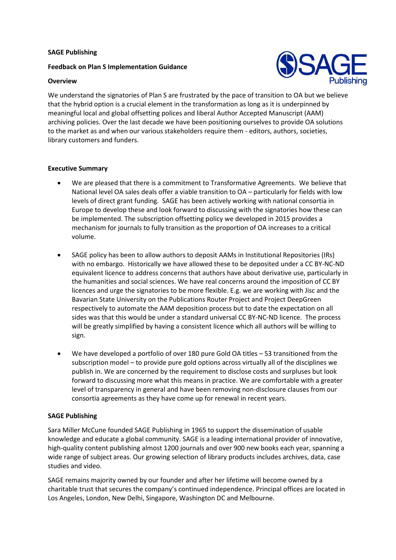#### **SAGE Publishing**

### **Feedback on Plan S Implementation Guidance**



#### **Overview**

We understand the signatories of Plan S are frustrated by the pace of transition to OA but we believe that the hybrid option is a crucial element in the transformation as long as it is underpinned by meaningful local and global offsetting polices and liberal Author Accepted Manuscript (AAM) archiving policies. Over the last decade we have been positioning ourselves to provide OA solutions to the market as and when our various stakeholders require them - editors, authors, societies, library customers and funders.

# **Executive Summary**

- We are pleased that there is a commitment to Transformative Agreements. We believe that National level OA sales deals offer a viable transition to OA – particularly for fields with low levels of direct grant funding. SAGE has been actively working with national consortia in Europe to develop these and look forward to discussing with the signatories how these can be implemented. The subscription offsetting policy we developed in 2015 provides a mechanism for journals to fully transition as the proportion of OA increases to a critical volume.
- SAGE policy has been to allow authors to deposit AAMs in Institutional Repositories (IRs) with no embargo. Historically we have allowed these to be deposited under a CC BY-NC-ND equivalent licence to address concerns that authors have about derivative use, particularly in the humanities and social sciences. We have real concerns around the imposition of CC BY licences and urge the signatories to be more flexible. E.g. we are working with Jisc and the Bavarian State University on the Publications Router Project and Project DeepGreen respectively to automate the AAM deposition process but to date the expectation on all sides was that this would be under a standard universal CC BY-NC-ND licence. The process will be greatly simplified by having a consistent licence which all authors will be willing to sign.
- We have developed a portfolio of over 180 pure Gold OA titles 53 transitioned from the subscription model – to provide pure gold options across virtually all of the disciplines we publish in. We are concerned by the requirement to disclose costs and surpluses but look forward to discussing more what this means in practice. We are comfortable with a greater level of transparency in general and have been removing non-disclosure clauses from our consortia agreements as they have come up for renewal in recent years.

# **SAGE Publishing**

Sara Miller McCune founded SAGE Publishing in 1965 to support the dissemination of usable knowledge and educate a global community. SAGE is a leading international provider of innovative, high-quality content publishing almost 1200 journals and over 900 new books each year, spanning a wide range of subject areas. Our growing selection of library products includes archives, data, case studies and video.

SAGE remains majority owned by our founder and after her lifetime will become owned by a charitable trust that secures the company's continued independence. Principal offices are located in Los Angeles, London, New Delhi, Singapore, Washington DC and Melbourne.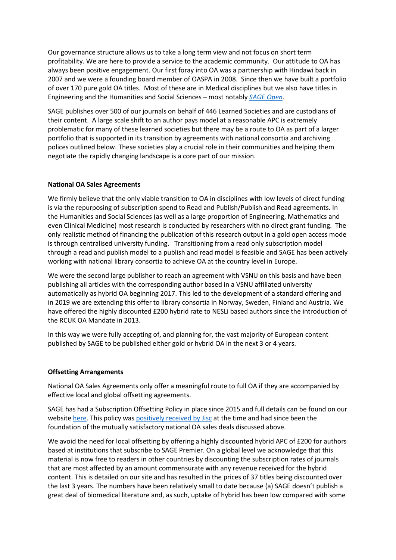Our governance structure allows us to take a long term view and not focus on short term profitability. We are here to provide a service to the academic community. Our attitude to OA has always been positive engagement. Our first foray into OA was a partnership with Hindawi back in 2007 and we were a founding board member of OASPA in 2008. Since then we have built a portfolio of over 170 pure gold OA titles. Most of these are in Medical disciplines but we also have titles in Engineering and the Humanities and Social Sciences – most notably *[SAGE Open](https://journals.sagepub.com/home/sgo)*.

SAGE publishes over 500 of our journals on behalf of 446 Learned Societies and are custodians of their content. A large scale shift to an author pays model at a reasonable APC is extremely problematic for many of these learned societies but there may be a route to OA as part of a larger portfolio that is supported in its transition by agreements with national consortia and archiving polices outlined below. These societies play a crucial role in their communities and helping them negotiate the rapidly changing landscape is a core part of our mission.

# **National OA Sales Agreements**

We firmly believe that the only viable transition to OA in disciplines with low levels of direct funding is via the repurposing of subscription spend to Read and Publish/Publish and Read agreements. In the Humanities and Social Sciences (as well as a large proportion of Engineering, Mathematics and even Clinical Medicine) most research is conducted by researchers with no direct grant funding. The only realistic method of financing the publication of this research output in a gold open access mode is through centralised university funding. Transitioning from a read only subscription model through a read and publish model to a publish and read model is feasible and SAGE has been actively working with national library consortia to achieve OA at the country level in Europe.

We were the second large publisher to reach an agreement with VSNU on this basis and have been publishing all articles with the corresponding author based in a VSNU affiliated university automatically as hybrid OA beginning 2017. This led to the development of a standard offering and in 2019 we are extending this offer to library consortia in Norway, Sweden, Finland and Austria. We have offered the highly discounted £200 hybrid rate to NESLi based authors since the introduction of the RCUK OA Mandate in 2013.

In this way we were fully accepting of, and planning for, the vast majority of European content published by SAGE to be published either gold or hybrid OA in the next 3 or 4 years.

### **Offsetting Arrangements**

National OA Sales Agreements only offer a meaningful route to full OA if they are accompanied by effective local and global offsetting agreements.

SAGE has had a Subscription Offsetting Policy in place since 2015 and full details can be found on our websit[e here.](https://uk.sagepub.com/en-gb/eur/subscription-pricing-for-hybrid-journals) This policy wa[s positively received by Jisc](https://scholarlycommunications.jiscinvolve.org/wp/2015/06/19/how-offsetting-schemes-can-reduce-apc-costs/) at the time and had since been the foundation of the mutually satisfactory national OA sales deals discussed above.

We avoid the need for local offsetting by offering a highly discounted hybrid APC of £200 for authors based at institutions that subscribe to SAGE Premier. On a global level we acknowledge that this material is now free to readers in other countries by discounting the subscription rates of journals that are most affected by an amount commensurate with any revenue received for the hybrid content. This is detailed on our site and has resulted in the prices of 37 titles being discounted over the last 3 years. The numbers have been relatively small to date because (a) SAGE doesn't publish a great deal of biomedical literature and, as such, uptake of hybrid has been low compared with some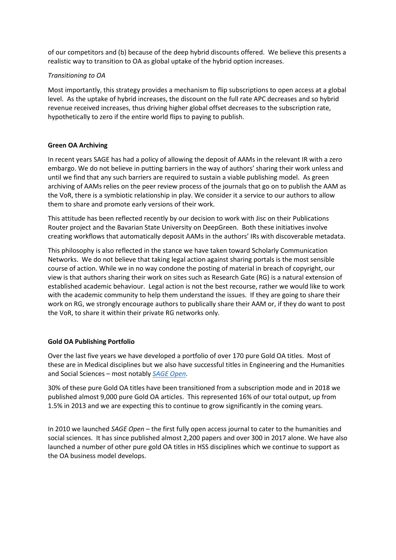of our competitors and (b) because of the deep hybrid discounts offered. We believe this presents a realistic way to transition to OA as global uptake of the hybrid option increases.

#### *Transitioning to OA*

Most importantly, this strategy provides a mechanism to flip subscriptions to open access at a global level. As the uptake of hybrid increases, the discount on the full rate APC decreases and so hybrid revenue received increases, thus driving higher global offset decreases to the subscription rate, hypothetically to zero if the entire world flips to paying to publish.

#### **Green OA Archiving**

In recent years SAGE has had a policy of allowing the deposit of AAMs in the relevant IR with a zero embargo. We do not believe in putting barriers in the way of authors' sharing their work unless and until we find that any such barriers are required to sustain a viable publishing model. As green archiving of AAMs relies on the peer review process of the journals that go on to publish the AAM as the VoR, there is a symbiotic relationship in play. We consider it a service to our authors to allow them to share and promote early versions of their work.

This attitude has been reflected recently by our decision to work with Jisc on their Publications Router project and the Bavarian State University on DeepGreen. Both these initiatives involve creating workflows that automatically deposit AAMs in the authors' IRs with discoverable metadata.

This philosophy is also reflected in the stance we have taken toward Scholarly Communication Networks. We do not believe that taking legal action against sharing portals is the most sensible course of action. While we in no way condone the posting of material in breach of copyright, our view is that authors sharing their work on sites such as Research Gate (RG) is a natural extension of established academic behaviour. Legal action is not the best recourse, rather we would like to work with the academic community to help them understand the issues. If they are going to share their work on RG, we strongly encourage authors to publically share their AAM or, if they do want to post the VoR, to share it within their private RG networks only.

#### **Gold OA Publishing Portfolio**

Over the last five years we have developed a portfolio of over 170 pure Gold OA titles. Most of these are in Medical disciplines but we also have successful titles in Engineering and the Humanities and Social Sciences – most notably *[SAGE Open](https://journals.sagepub.com/home/sgo)*.

30% of these pure Gold OA titles have been transitioned from a subscription mode and in 2018 we published almost 9,000 pure Gold OA articles. This represented 16% of our total output, up from 1.5% in 2013 and we are expecting this to continue to grow significantly in the coming years.

In 2010 we launched *SAGE Open* – the first fully open access journal to cater to the humanities and social sciences. It has since published almost 2,200 papers and over 300 in 2017 alone. We have also launched a number of other pure gold OA titles in HSS disciplines which we continue to support as the OA business model develops.